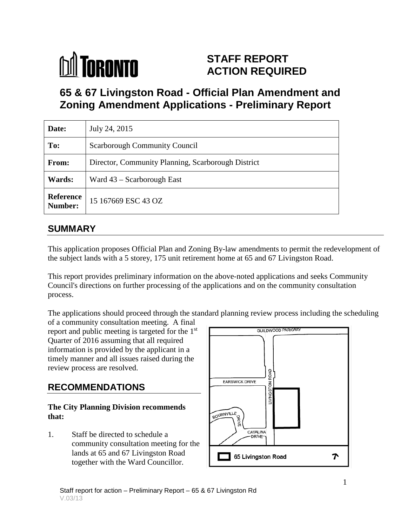# **M** TORONTO

## **STAFF REPORT ACTION REQUIRED**

## **65 & 67 Livingston Road - Official Plan Amendment and Zoning Amendment Applications - Preliminary Report**

| Date:                       | July 24, 2015                                      |
|-----------------------------|----------------------------------------------------|
| To:                         | <b>Scarborough Community Council</b>               |
| From:                       | Director, Community Planning, Scarborough District |
| Wards:                      | Ward $43$ – Scarborough East                       |
| <b>Reference</b><br>Number: | 15 167669 ESC 43 OZ                                |

## **SUMMARY**

This application proposes Official Plan and Zoning By-law amendments to permit the redevelopment of the subject lands with a 5 storey, 175 unit retirement home at 65 and 67 Livingston Road.

This report provides preliminary information on the above-noted applications and seeks Community Council's directions on further processing of the applications and on the community consultation process.

The applications should proceed through the standard planning review process including the scheduling

of a community consultation meeting. A final report and public meeting is targeted for the 1st Quarter of 2016 assuming that all required information is provided by the applicant in a timely manner and all issues raised during the review process are resolved.

## **RECOMMENDATIONS**

#### **The City Planning Division recommends that:**

1. Staff be directed to schedule a community consultation meeting for the lands at 65 and 67 Livingston Road together with the Ward Councillor.

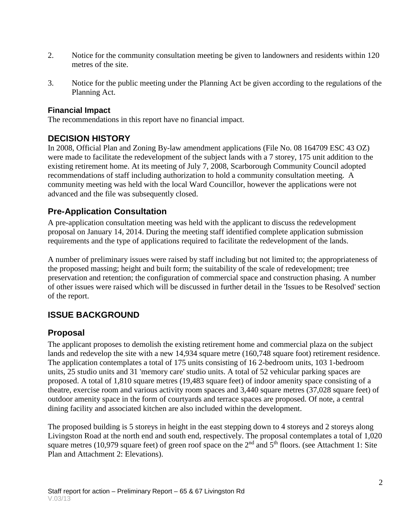- 2. Notice for the community consultation meeting be given to landowners and residents within 120 metres of the site.
- 3. Notice for the public meeting under the Planning Act be given according to the regulations of the Planning Act.

#### **Financial Impact**

The recommendations in this report have no financial impact.

#### **DECISION HISTORY**

In 2008, Official Plan and Zoning By-law amendment applications (File No. 08 164709 ESC 43 OZ) were made to facilitate the redevelopment of the subject lands with a 7 storey, 175 unit addition to the existing retirement home. At its meeting of July 7, 2008, Scarborough Community Council adopted recommendations of staff including authorization to hold a community consultation meeting. A community meeting was held with the local Ward Councillor, however the applications were not advanced and the file was subsequently closed.

#### **Pre-Application Consultation**

A pre-application consultation meeting was held with the applicant to discuss the redevelopment proposal on January 14, 2014. During the meeting staff identified complete application submission requirements and the type of applications required to facilitate the redevelopment of the lands.

A number of preliminary issues were raised by staff including but not limited to; the appropriateness of the proposed massing; height and built form; the suitability of the scale of redevelopment; tree preservation and retention; the configuration of commercial space and construction phasing. A number of other issues were raised which will be discussed in further detail in the 'Issues to be Resolved' section of the report.

### **ISSUE BACKGROUND**

#### **Proposal**

The applicant proposes to demolish the existing retirement home and commercial plaza on the subject lands and redevelop the site with a new 14,934 square metre (160,748 square foot) retirement residence. The application contemplates a total of 175 units consisting of 16 2-bedroom units, 103 1-bedroom units, 25 studio units and 31 'memory care' studio units. A total of 52 vehicular parking spaces are proposed. A total of 1,810 square metres (19,483 square feet) of indoor amenity space consisting of a theatre, exercise room and various activity room spaces and 3,440 square metres (37,028 square feet) of outdoor amenity space in the form of courtyards and terrace spaces are proposed. Of note, a central dining facility and associated kitchen are also included within the development.

The proposed building is 5 storeys in height in the east stepping down to 4 storeys and 2 storeys along Livingston Road at the north end and south end, respectively. The proposal contemplates a total of 1,020 square metres (10,979 square feet) of green roof space on the  $2<sup>nd</sup>$  and  $5<sup>th</sup>$  floors. (see Attachment 1: Site Plan and Attachment 2: Elevations).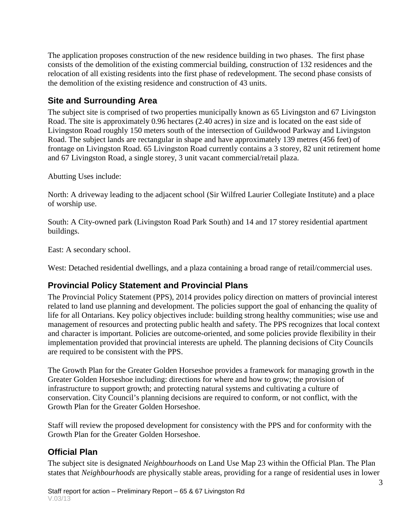The application proposes construction of the new residence building in two phases. The first phase consists of the demolition of the existing commercial building, construction of 132 residences and the relocation of all existing residents into the first phase of redevelopment. The second phase consists of the demolition of the existing residence and construction of 43 units.

#### **Site and Surrounding Area**

The subject site is comprised of two properties municipally known as 65 Livingston and 67 Livingston Road. The site is approximately 0.96 hectares (2.40 acres) in size and is located on the east side of Livingston Road roughly 150 meters south of the intersection of Guildwood Parkway and Livingston Road. The subject lands are rectangular in shape and have approximately 139 metres (456 feet) of frontage on Livingston Road. 65 Livingston Road currently contains a 3 storey, 82 unit retirement home and 67 Livingston Road, a single storey, 3 unit vacant commercial/retail plaza.

Abutting Uses include:

North: A driveway leading to the adjacent school (Sir Wilfred Laurier Collegiate Institute) and a place of worship use.

South: A City-owned park (Livingston Road Park South) and 14 and 17 storey residential apartment buildings.

East: A secondary school.

West: Detached residential dwellings, and a plaza containing a broad range of retail/commercial uses.

#### **Provincial Policy Statement and Provincial Plans**

The Provincial Policy Statement (PPS), 2014 provides policy direction on matters of provincial interest related to land use planning and development. The policies support the goal of enhancing the quality of life for all Ontarians. Key policy objectives include: building strong healthy communities; wise use and management of resources and protecting public health and safety. The PPS recognizes that local context and character is important. Policies are outcome-oriented, and some policies provide flexibility in their implementation provided that provincial interests are upheld. The planning decisions of City Councils are required to be consistent with the PPS.

The Growth Plan for the Greater Golden Horseshoe provides a framework for managing growth in the Greater Golden Horseshoe including: directions for where and how to grow; the provision of infrastructure to support growth; and protecting natural systems and cultivating a culture of conservation. City Council's planning decisions are required to conform, or not conflict, with the Growth Plan for the Greater Golden Horseshoe.

Staff will review the proposed development for consistency with the PPS and for conformity with the Growth Plan for the Greater Golden Horseshoe.

### **Official Plan**

The subject site is designated *Neighbourhoods* on Land Use Map 23 within the Official Plan. The Plan states that *Neighbourhoods* are physically stable areas, providing for a range of residential uses in lower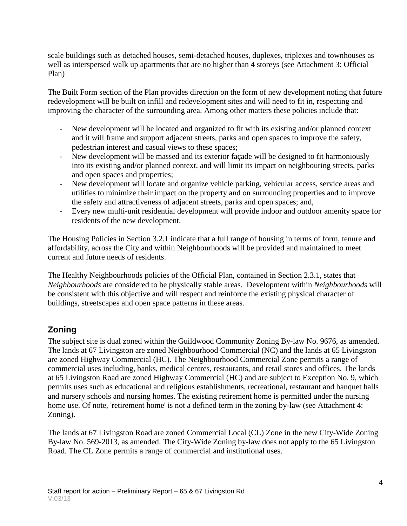scale buildings such as detached houses, semi-detached houses, duplexes, triplexes and townhouses as well as interspersed walk up apartments that are no higher than 4 storeys (see Attachment 3: Official Plan)

The Built Form section of the Plan provides direction on the form of new development noting that future redevelopment will be built on infill and redevelopment sites and will need to fit in, respecting and improving the character of the surrounding area. Among other matters these policies include that:

- New development will be located and organized to fit with its existing and/or planned context and it will frame and support adjacent streets, parks and open spaces to improve the safety, pedestrian interest and casual views to these spaces;
- New development will be massed and its exterior façade will be designed to fit harmoniously into its existing and/or planned context, and will limit its impact on neighbouring streets, parks and open spaces and properties;
- New development will locate and organize vehicle parking, vehicular access, service areas and utilities to minimize their impact on the property and on surrounding properties and to improve the safety and attractiveness of adjacent streets, parks and open spaces; and,
- Every new multi-unit residential development will provide indoor and outdoor amenity space for residents of the new development.

The Housing Policies in Section 3.2.1 indicate that a full range of housing in terms of form, tenure and affordability, across the City and within Neighbourhoods will be provided and maintained to meet current and future needs of residents.

The Healthy Neighbourhoods policies of the Official Plan, contained in Section 2.3.1, states that *Neighbourhoods* are considered to be physically stable areas. Development within *Neighbourhoods* will be consistent with this objective and will respect and reinforce the existing physical character of buildings, streetscapes and open space patterns in these areas.

### **Zoning**

The subject site is dual zoned within the Guildwood Community Zoning By-law No. 9676, as amended. The lands at 67 Livingston are zoned Neighbourhood Commercial (NC) and the lands at 65 Livingston are zoned Highway Commercial (HC). The Neighbourhood Commercial Zone permits a range of commercial uses including, banks, medical centres, restaurants, and retail stores and offices. The lands at 65 Livingston Road are zoned Highway Commercial (HC) and are subject to Exception No. 9, which permits uses such as educational and religious establishments, recreational, restaurant and banquet halls and nursery schools and nursing homes. The existing retirement home is permitted under the nursing home use. Of note, 'retirement home' is not a defined term in the zoning by-law (see Attachment 4: Zoning).

The lands at 67 Livingston Road are zoned Commercial Local (CL) Zone in the new City-Wide Zoning By-law No. 569-2013, as amended. The City-Wide Zoning by-law does not apply to the 65 Livingston Road. The CL Zone permits a range of commercial and institutional uses.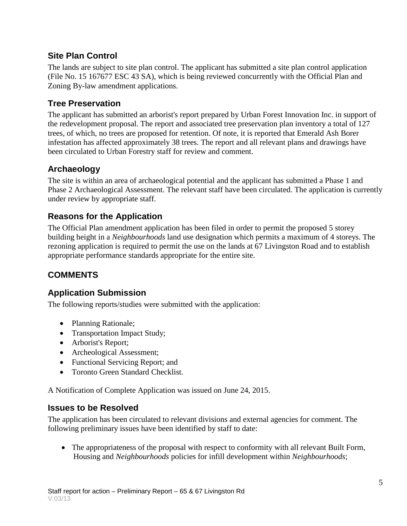### **Site Plan Control**

The lands are subject to site plan control. The applicant has submitted a site plan control application (File No. 15 167677 ESC 43 SA), which is being reviewed concurrently with the Official Plan and Zoning By-law amendment applications.

#### **Tree Preservation**

The applicant has submitted an arborist's report prepared by Urban Forest Innovation Inc. in support of the redevelopment proposal. The report and associated tree preservation plan inventory a total of 127 trees, of which, no trees are proposed for retention. Of note, it is reported that Emerald Ash Borer infestation has affected approximately 38 trees. The report and all relevant plans and drawings have been circulated to Urban Forestry staff for review and comment.

#### **Archaeology**

The site is within an area of archaeological potential and the applicant has submitted a Phase 1 and Phase 2 Archaeological Assessment. The relevant staff have been circulated. The application is currently under review by appropriate staff.

#### **Reasons for the Application**

The Official Plan amendment application has been filed in order to permit the proposed 5 storey building height in a *Neighbourhoods* land use designation which permits a maximum of 4 storeys. The rezoning application is required to permit the use on the lands at 67 Livingston Road and to establish appropriate performance standards appropriate for the entire site.

#### **COMMENTS**

#### **Application Submission**

The following reports/studies were submitted with the application:

- Planning Rationale;
- Transportation Impact Study;
- Arborist's Report;
- Archeological Assessment;
- Functional Servicing Report; and
- Toronto Green Standard Checklist.

A Notification of Complete Application was issued on June 24, 2015.

#### **Issues to be Resolved**

The application has been circulated to relevant divisions and external agencies for comment. The following preliminary issues have been identified by staff to date:

• The appropriateness of the proposal with respect to conformity with all relevant Built Form, Housing and *Neighbourhoods* policies for infill development within *Neighbourhoods*;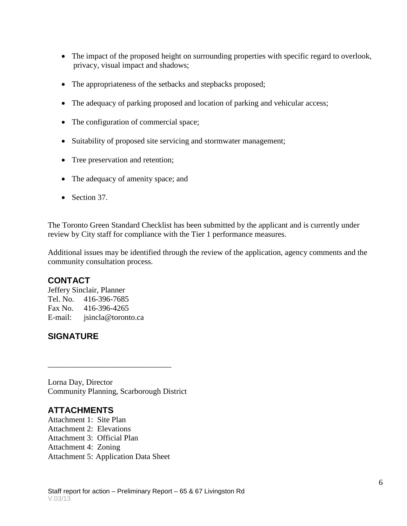- The impact of the proposed height on surrounding properties with specific regard to overlook, privacy, visual impact and shadows;
- The appropriateness of the setbacks and stepbacks proposed;
- The adequacy of parking proposed and location of parking and vehicular access;
- The configuration of commercial space;
- Suitability of proposed site servicing and stormwater management;
- Tree preservation and retention;
- The adequacy of amenity space; and
- Section 37.

The Toronto Green Standard Checklist has been submitted by the applicant and is currently under review by City staff for compliance with the Tier 1 performance measures.

Additional issues may be identified through the review of the application, agency comments and the community consultation process.

#### **CONTACT**

Jeffery Sinclair, Planner Tel. No. 416-396-7685 Fax No. 416-396-4265 E-mail: jsincla@toronto.ca

#### **SIGNATURE**

Lorna Day, Director Community Planning, Scarborough District

\_\_\_\_\_\_\_\_\_\_\_\_\_\_\_\_\_\_\_\_\_\_\_\_\_\_\_\_\_\_\_

#### **ATTACHMENTS**

Attachment 1: Site Plan Attachment 2: Elevations Attachment 3: Official Plan Attachment 4: Zoning Attachment 5: Application Data Sheet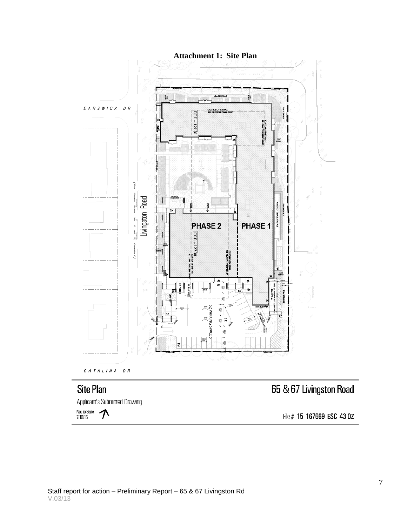

## **Site Plan**

Applicant's Submitted Drawing

Not to Scale  $\bigwedge$ 

# 65 & 67 Livingston Road

File # 15 167669 ESC 43 0Z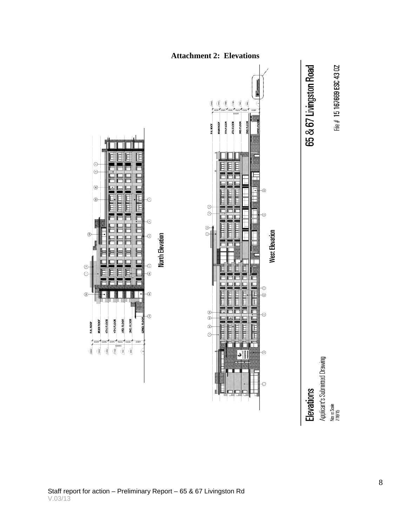



4TH. FLOOR **STH. FLOOR** 

**MAIN ROOF** P.H. ROOF

**3RD, FLOOR** 

E  $\odot$ 

 $^{\circ}$ 

 $^{\circ}$ 

 $^\circledR$ 

 $^\copyright$ 

 $\odot$ 

 $^\circledR$ 

Not to Scale<br>7/16/15

File  $#$  15 167669 ESC 43 0Z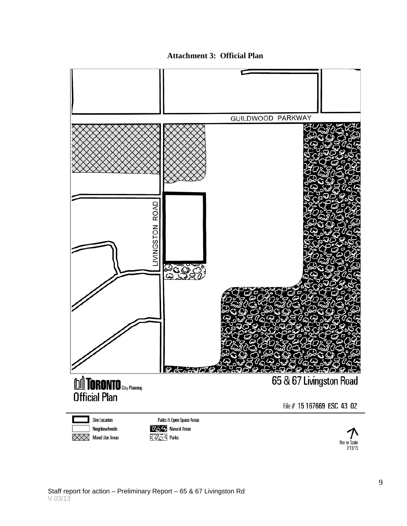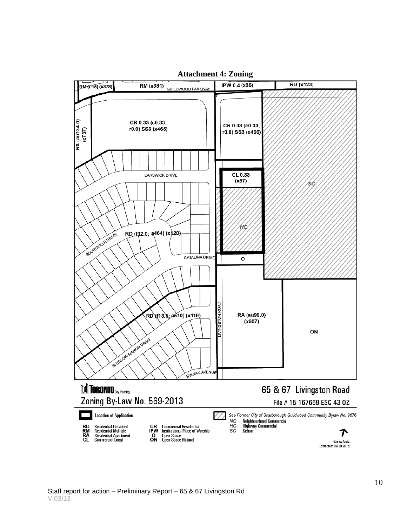

#### **Attachment 4: Zoning**